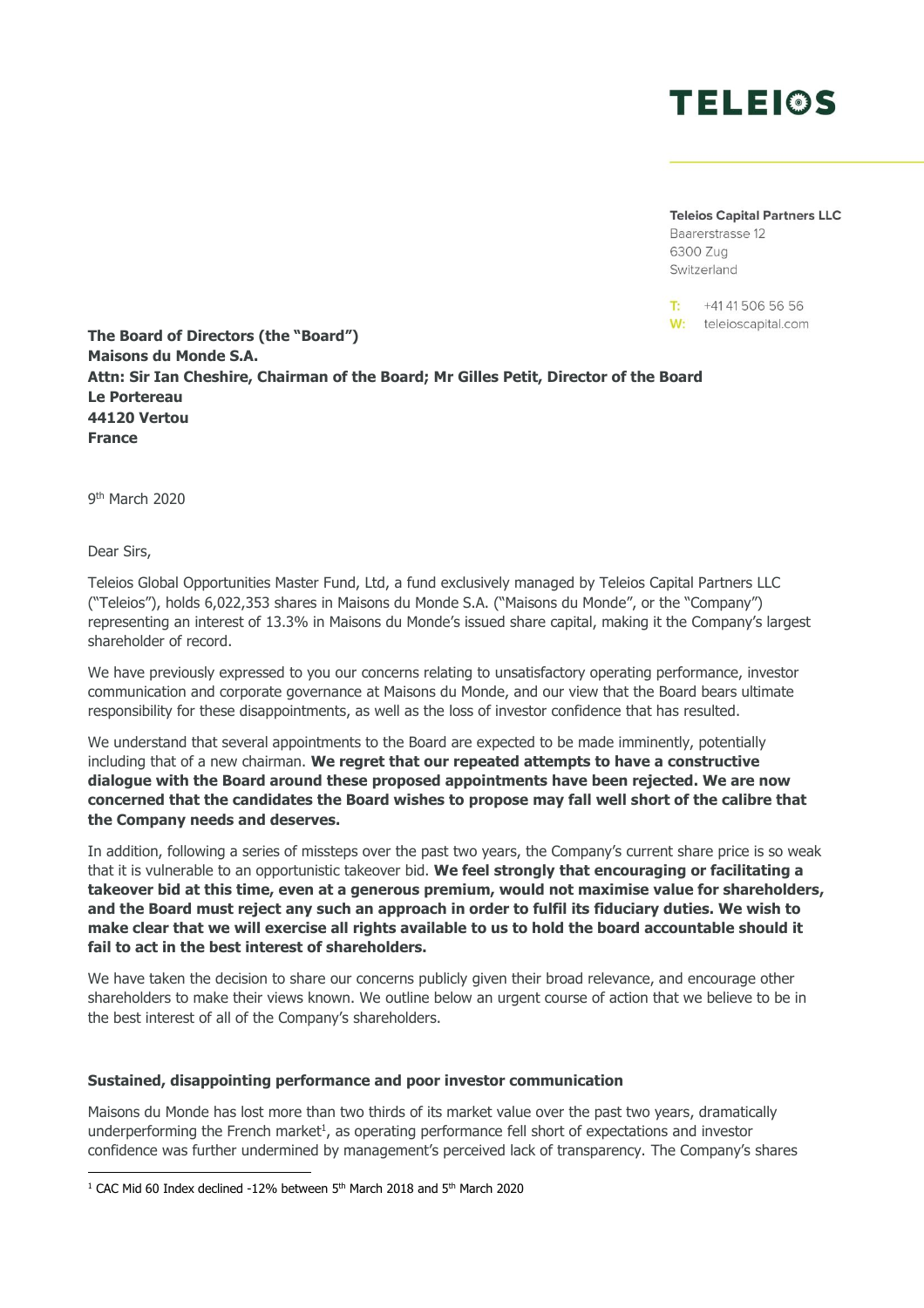

**Teleios Capital Partners LLC** 

Baarerstrasse 12 6300 Zug Switzerland

T-+41 41 506 56 56 W: teleioscapital.com

**The Board of Directors (the "Board") Maisons du Monde S.A. Attn: Sir Ian Cheshire, Chairman of the Board; Mr Gilles Petit, Director of the Board Le Portereau 44120 Vertou France**

9<sup>th</sup> March 2020

Dear Sirs,

Teleios Global Opportunities Master Fund, Ltd, a fund exclusively managed by Teleios Capital Partners LLC ("Teleios"), holds 6,022,353 shares in Maisons du Monde S.A. ("Maisons du Monde", or the "Company") representing an interest of 13.3% in Maisons du Monde's issued share capital, making it the Company's largest shareholder of record.

We have previously expressed to you our concerns relating to unsatisfactory operating performance, investor communication and corporate governance at Maisons du Monde, and our view that the Board bears ultimate responsibility for these disappointments, as well as the loss of investor confidence that has resulted.

We understand that several appointments to the Board are expected to be made imminently, potentially including that of a new chairman. **We regret that our repeated attempts to have a constructive dialogue with the Board around these proposed appointments have been rejected. We are now concerned that the candidates the Board wishes to propose may fall well short of the calibre that the Company needs and deserves.**

In addition, following a series of missteps over the past two years, the Company's current share price is so weak that it is vulnerable to an opportunistic takeover bid. **We feel strongly that encouraging or facilitating a takeover bid at this time, even at a generous premium, would not maximise value for shareholders, and the Board must reject any such an approach in order to fulfil its fiduciary duties. We wish to make clear that we will exercise all rights available to us to hold the board accountable should it fail to act in the best interest of shareholders.** 

We have taken the decision to share our concerns publicly given their broad relevance, and encourage other shareholders to make their views known. We outline below an urgent course of action that we believe to be in the best interest of all of the Company's shareholders.

## **Sustained, disappointing performance and poor investor communication**

Maisons du Monde has lost more than two thirds of its market value over the past two years, dramatically underperforming the French market<sup>1</sup>, as operating performance fell short of expectations and investor confidence was further undermined by management's perceived lack of transparency. The Company's shares

<sup>&</sup>lt;sup>1</sup> CAC Mid 60 Index declined -12% between 5<sup>th</sup> March 2018 and 5<sup>th</sup> March 2020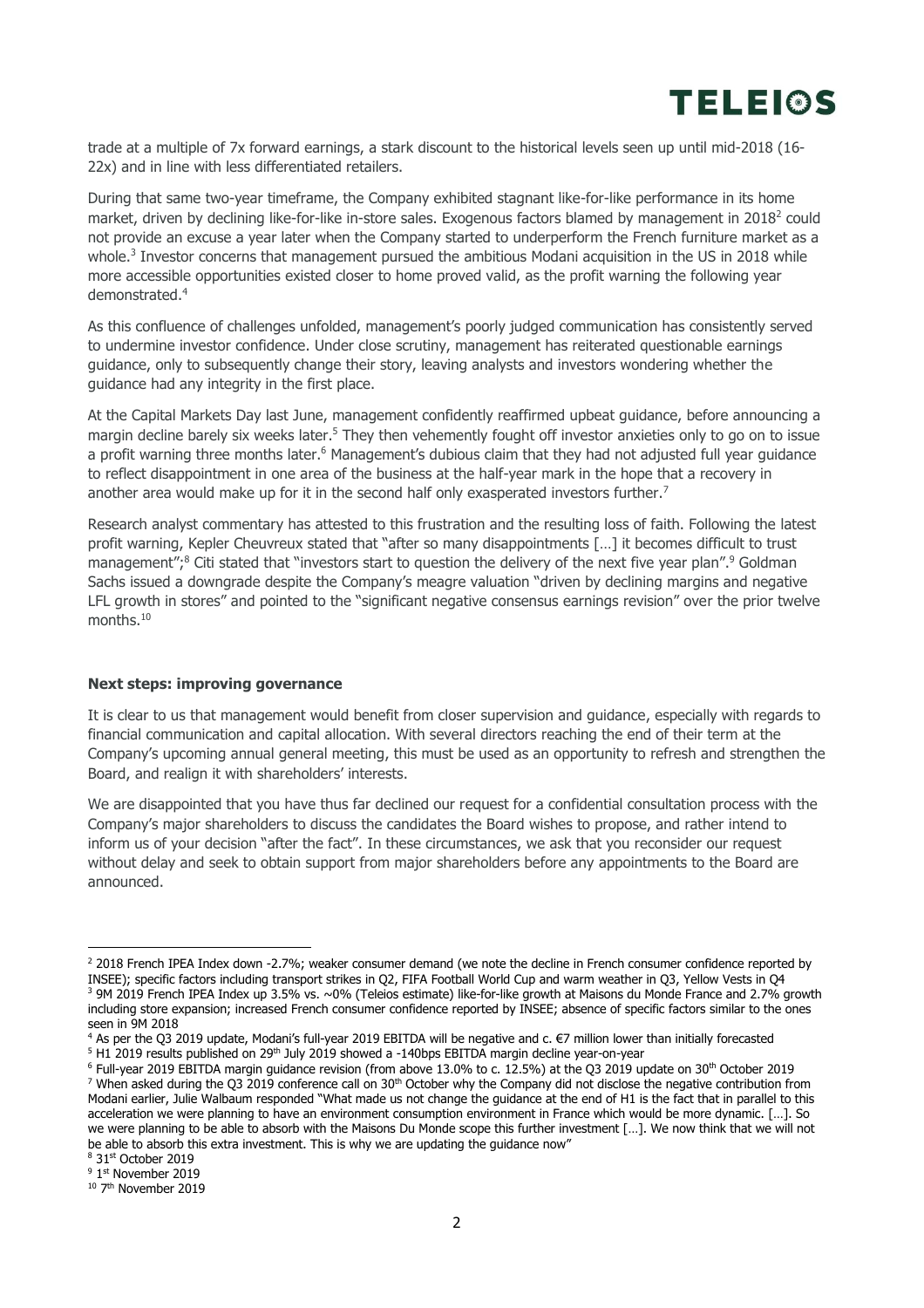

trade at a multiple of 7x forward earnings, a stark discount to the historical levels seen up until mid-2018 (16- 22x) and in line with less differentiated retailers.

During that same two-year timeframe, the Company exhibited stagnant like-for-like performance in its home market, driven by declining like-for-like in-store sales. Exogenous factors blamed by management in 2018<sup>2</sup> could not provide an excuse a year later when the Company started to underperform the French furniture market as a whole. 3 Investor concerns that management pursued the ambitious Modani acquisition in the US in 2018 while more accessible opportunities existed closer to home proved valid, as the profit warning the following year demonstrated.<sup>4</sup>

As this confluence of challenges unfolded, management's poorly judged communication has consistently served to undermine investor confidence. Under close scrutiny, management has reiterated questionable earnings guidance, only to subsequently change their story, leaving analysts and investors wondering whether the guidance had any integrity in the first place.

At the Capital Markets Day last June, management confidently reaffirmed upbeat guidance, before announcing a margin decline barely six weeks later.<sup>5</sup> They then vehemently fought off investor anxieties only to go on to issue a profit warning three months later. <sup>6</sup> Management's dubious claim that they had not adjusted full year guidance to reflect disappointment in one area of the business at the half-year mark in the hope that a recovery in another area would make up for it in the second half only exasperated investors further.<sup>7</sup>

Research analyst commentary has attested to this frustration and the resulting loss of faith. Following the latest profit warning, Kepler Cheuvreux stated that "after so many disappointments […] it becomes difficult to trust management";<sup>8</sup> Citi stated that "investors start to question the delivery of the next five year plan".<sup>9</sup> Goldman Sachs issued a downgrade despite the Company's meagre valuation "driven by declining margins and negative LFL growth in stores" and pointed to the "significant negative consensus earnings revision" over the prior twelve months.<sup>10</sup>

## **Next steps: improving governance**

It is clear to us that management would benefit from closer supervision and guidance, especially with regards to financial communication and capital allocation. With several directors reaching the end of their term at the Company's upcoming annual general meeting, this must be used as an opportunity to refresh and strengthen the Board, and realign it with shareholders' interests.

We are disappointed that you have thus far declined our request for a confidential consultation process with the Company's major shareholders to discuss the candidates the Board wishes to propose, and rather intend to inform us of your decision "after the fact". In these circumstances, we ask that you reconsider our request without delay and seek to obtain support from major shareholders before any appointments to the Board are announced.

<sup>&</sup>lt;sup>2</sup> 2018 French IPEA Index down -2.7%; weaker consumer demand (we note the decline in French consumer confidence reported by INSEE); specific factors including transport strikes in Q2, FIFA Football World Cup and warm weather in Q3, Yellow Vests in Q4 <sup>3</sup> 9M 2019 French IPEA Index up 3.5% vs. ~0% (Teleios estimate) like-for-like growth at Maisons du Monde France and 2.7% growth including store expansion; increased French consumer confidence reported by INSEE; absence of specific factors similar to the ones

seen in 9M 2018 <sup>4</sup> As per the Q3 2019 update, Modani's full-year 2019 EBITDA will be negative and c. €7 million lower than initially forecasted <sup>5</sup> H1 2019 results published on 29<sup>th</sup> July 2019 showed a -140bps EBITDA margin decline year-on-year

<sup>&</sup>lt;sup>6</sup> Full-year 2019 EBITDA margin guidance revision (from above 13.0% to c. 12.5%) at the Q3 2019 update on 30<sup>th</sup> October 2019  $7$  When asked during the Q3 2019 conference call on 30<sup>th</sup> October why the Company did not disclose the negative contribution from Modani earlier, Julie Walbaum responded "What made us not change the guidance at the end of H1 is the fact that in parallel to this acceleration we were planning to have an environment consumption environment in France which would be more dynamic. […]. So we were planning to be able to absorb with the Maisons Du Monde scope this further investment […]. We now think that we will not be able to absorb this extra investment. This is why we are updating the guidance now"

<sup>8</sup> 31st October 2019

<sup>&</sup>lt;sup>9</sup> 1<sup>st</sup> November 2019

<sup>&</sup>lt;sup>10</sup> 7<sup>th</sup> November 2019